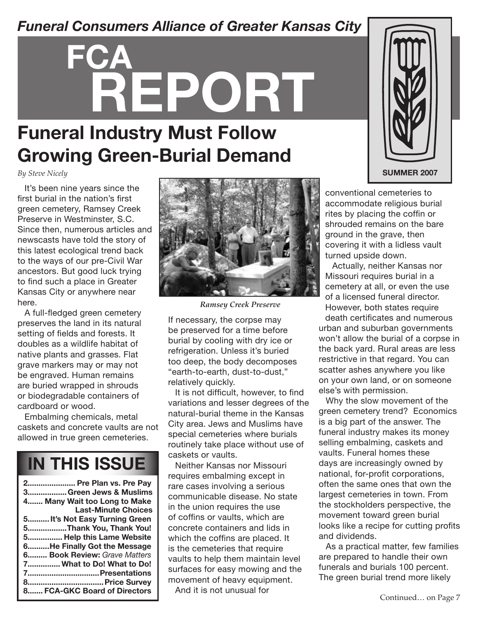#### *Funeral Consumers Alliance of Greater Kansas City*

# **FCA REPORT**

### **Funeral Industry Must Follow Growing Green-Burial Demand**

*By Steve Nicely*

It's been nine years since the first burial in the nation's first green cemetery, Ramsey Creek Preserve in Westminster, S.C. Since then, numerous articles and newscasts have told the story of this latest ecological trend back to the ways of our pre-Civil War ancestors. But good luck trying to find such a place in Greater Kansas City or anywhere near here.

A full-fledged green cemetery preserves the land in its natural setting of fields and forests. It doubles as a wildlife habitat of native plants and grasses. Flat grave markers may or may not be engraved. Human remains are buried wrapped in shrouds or biodegradable containers of cardboard or wood.

Embalming chemicals, metal caskets and concrete vaults are not allowed in true green cemeteries.

### **IN THIS ISSUE**

| 2 Pre Plan vs. Pre Pay        |
|-------------------------------|
| 3Green Jews & Muslims         |
| 4 Many Wait too Long to Make  |
| <b>Last-Minute Choices</b>    |
| 5 It's Not Easy Turning Green |
| 5Thank You, Thank You!        |
| 5 Help this Lame Website      |
| 6He Finally Got the Message   |
| 6 Book Review: Grave Matters  |
| 7 What to Do! What to Do!     |
|                               |
| 8 Price Survey                |
| 8 FCA-GKC Board of Directors  |



*Ramsey Creek Preserve*

If necessary, the corpse may be preserved for a time before burial by cooling with dry ice or refrigeration. Unless it's buried too deep, the body decomposes "earth-to-earth, dust-to-dust," relatively quickly.

It is not difficult, however, to find variations and lesser degrees of the natural-burial theme in the Kansas City area. Jews and Muslims have special cemeteries where burials routinely take place without use of caskets or vaults.

Neither Kansas nor Missouri requires embalming except in rare cases involving a serious communicable disease. No state in the union requires the use of coffins or vaults, which are concrete containers and lids in which the coffins are placed. It is the cemeteries that require vaults to help them maintain level surfaces for easy mowing and the movement of heavy equipment.

And it is not unusual for



conventional cemeteries to accommodate religious burial rites by placing the coffin or shrouded remains on the bare ground in the grave, then covering it with a lidless vault turned upside down.

Actually, neither Kansas nor Missouri requires burial in a cemetery at all, or even the use of a licensed funeral director. However, both states require death certificates and numerous

urban and suburban governments won't allow the burial of a corpse in the back yard. Rural areas are less restrictive in that regard. You can scatter ashes anywhere you like on your own land, or on someone else's with permission.

Why the slow movement of the green cemetery trend? Economics is a big part of the answer. The funeral industry makes its money selling embalming, caskets and vaults. Funeral homes these days are increasingly owned by national, for-profit corporations, often the same ones that own the largest cemeteries in town. From the stockholders perspective, the movement toward green burial looks like a recipe for cutting profits and dividends.

As a practical matter, few families are prepared to handle their own funerals and burials 100 percent. The green burial trend more likely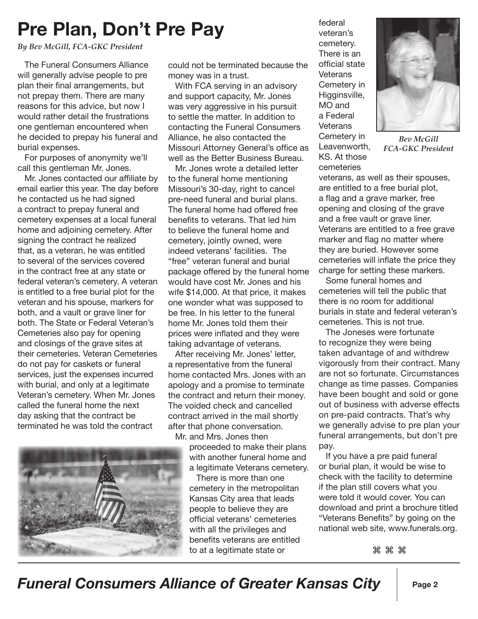# **Pre Plan, Don't Pre Pay**

*By Bev McGill, FCA-GKC President*

The Funeral Consumers Alliance will generally advise people to pre plan their final arrangements, but not prepay them. There are many reasons for this advice, but now I would rather detail the frustrations one gentleman encountered when he decided to prepay his funeral and burial expenses.

For purposes of anonymity we'll call this gentleman Mr. Jones.

Mr. Jones contacted our affiliate by email earlier this year. The day before he contacted us he had signed a contract to prepay funeral and cemetery expenses at a local funeral home and adjoining cemetery. After signing the contract he realized that, as a veteran, he was entitled to several of the services covered in the contract free at any state or federal veteran's cemetery. A veteran is entitled to a free burial plot for the veteran and his spouse, markers for both, and a vault or grave liner for both. The State or Federal Veteran's Cemeteries also pay for opening and closings of the grave sites at their cemeteries. Veteran Cemeteries do not pay for caskets or funeral services, just the expenses incurred with burial, and only at a legitimate Veteran's cemetery. When Mr. Jones called the funeral home the next day asking that the contract be terminated he was told the contract



could not be terminated because the money was in a trust.

With FCA serving in an advisory and support capacity, Mr. Jones was very aggressive in his pursuit to settle the matter. In addition to contacting the Funeral Consumers Alliance, he also contacted the Missouri Attorney General's office as well as the Better Business Bureau.

Mr. Jones wrote a detailed letter to the funeral home mentioning Missouri's 30-day, right to cancel pre-need funeral and burial plans. The funeral home had offered free benefits to veterans. That led him to believe the funeral home and cemetery, jointly owned, were indeed veterans' facilities. The "free" veteran funeral and burial package offered by the funeral home would have cost Mr. Jones and his wife \$14,000. At that price, it makes one wonder what was supposed to be free. In his letter to the funeral home Mr. Jones told them their prices were inflated and they were taking advantage of veterans.

After receiving Mr. Jones' letter, a representative from the funeral home contacted Mrs. Jones with an apology and a promise to terminate the contract and return their money. The voided check and cancelled contract arrived in the mail shortly after that phone conversation. Mr. and Mrs. Jones then

proceeded to make their plans with another funeral home and a legitimate Veterans cemetery.

There is more than one cemetery in the metropolitan Kansas City area that leads people to believe they are official veterans' cemeteries with all the privileges and benefits veterans are entitled to at a legitimate state or

federal veteran's cemetery. There is an official state **Veterans** Cemetery in Higginsville, MO and a Federal **Veterans** Cemetery in Leavenworth, KS. At those cemeteries



*Bev McGill FCA-GKC President*

veterans, as well as their spouses, are entitled to a free burial plot, a flag and a grave marker, free opening and closing of the grave and a free vault or grave liner. Veterans are entitled to a free grave marker and flag no matter where they are buried. However some cemeteries will inflate the price they charge for setting these markers.

Some funeral homes and cemeteries will tell the public that there is no room for additional burials in state and federal veteran's cemeteries. This is not true.

The Joneses were fortunate to recognize they were being taken advantage of and withdrew vigorously from their contract. Many are not so fortunate. Circumstances change as time passes. Companies have been bought and sold or gone out of business with adverse effects on pre-paid contracts. That's why we generally advise to pre plan your funeral arrangements, but don't pre pay.

If you have a pre paid funeral or burial plan, it would be wise to check with the facility to determine if the plan still covers what you were told it would cover. You can download and print a brochure titled "Veterans Benefits" by going on the national web site, www.funerals.org.

⌘ ⌘ ⌘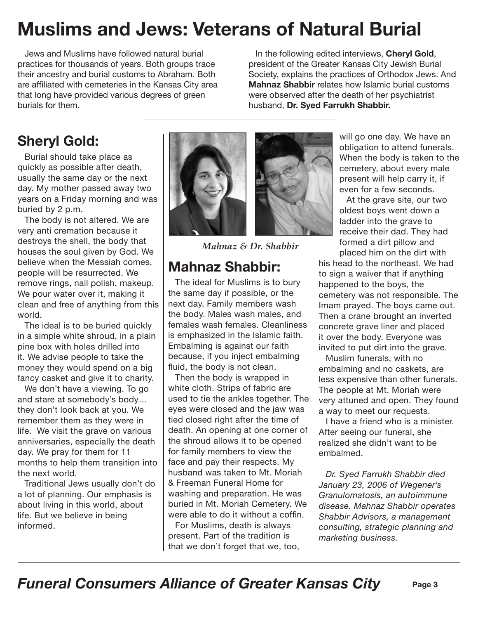# **Muslims and Jews: Veterans of Natural Burial**

Jews and Muslims have followed natural burial practices for thousands of years. Both groups trace their ancestry and burial customs to Abraham. Both are affiliated with cemeteries in the Kansas City area that long have provided various degrees of green burials for them.

In the following edited interviews, **Cheryl Gold**, president of the Greater Kansas City Jewish Burial Society, explains the practices of Orthodox Jews. And **Mahnaz Shabbir** relates how Islamic burial customs were observed after the death of her psychiatrist husband, **Dr. Syed Farrukh Shabbir.**

#### **Sheryl Gold:**

Burial should take place as quickly as possible after death, usually the same day or the next day. My mother passed away two years on a Friday morning and was buried by 2 p.m.

The body is not altered. We are very anti cremation because it destroys the shell, the body that houses the soul given by God. We believe when the Messiah comes, people will be resurrected. We remove rings, nail polish, makeup. We pour water over it, making it clean and free of anything from this world.

The ideal is to be buried quickly in a simple white shroud, in a plain pine box with holes drilled into it. We advise people to take the money they would spend on a big fancy casket and give it to charity.

We don't have a viewing. To go and stare at somebody's body… they don't look back at you. We remember them as they were in life. We visit the grave on various anniversaries, especially the death day. We pray for them for 11 months to help them transition into the next world.

Traditional Jews usually don't do a lot of planning. Our emphasis is about living in this world, about life. But we believe in being informed.





*Mahnaz & Dr. Shabbir*

#### **Mahnaz Shabbir:**

The ideal for Muslims is to bury the same day if possible, or the next day. Family members wash the body. Males wash males, and females wash females. Cleanliness is emphasized in the Islamic faith. Embalming is against our faith because, if you inject embalming fluid, the body is not clean.

Then the body is wrapped in white cloth. Strips of fabric are used to tie the ankles together. The eyes were closed and the jaw was tied closed right after the time of death. An opening at one corner of the shroud allows it to be opened for family members to view the face and pay their respects. My husband was taken to Mt. Moriah & Freeman Funeral Home for washing and preparation. He was buried in Mt. Moriah Cemetery. We were able to do it without a coffin.

For Muslims, death is always present. Part of the tradition is that we don't forget that we, too, will go one day. We have an obligation to attend funerals. When the body is taken to the cemetery, about every male present will help carry it, if even for a few seconds.

At the grave site, our two oldest boys went down a ladder into the grave to receive their dad. They had formed a dirt pillow and placed him on the dirt with

his head to the northeast. We had to sign a waiver that if anything happened to the boys, the cemetery was not responsible. The Imam prayed. The boys came out. Then a crane brought an inverted concrete grave liner and placed it over the body. Everyone was invited to put dirt into the grave.

Muslim funerals, with no embalming and no caskets, are less expensive than other funerals. The people at Mt. Moriah were very attuned and open. They found a way to meet our requests.

I have a friend who is a minister. After seeing our funeral, she realized she didn't want to be embalmed.

*Dr. Syed Farrukh Shabbir died January 23, 2006 of Wegener's Granulomatosis, an autoimmune disease. Mahnaz Shabbir operates Shabbir Advisors, a management consulting, strategic planning and marketing business.*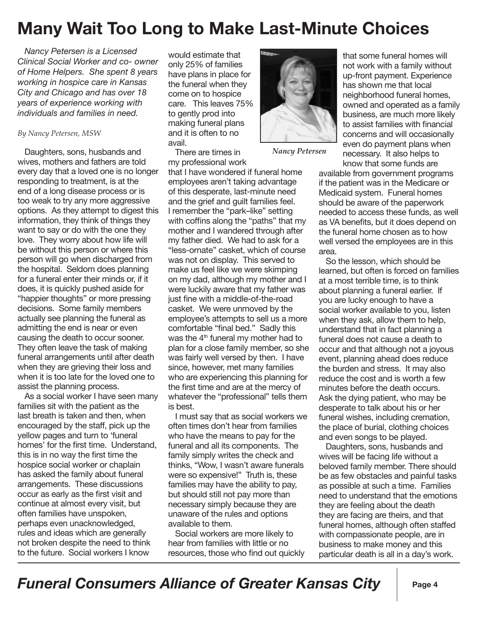#### **Many Wait Too Long to Make Last-Minute Choices**

*Nancy Petersen is a Licensed Clinical Social Worker and co- owner of Home Helpers. She spent 8 years working in hospice care in Kansas City and Chicago and has over 18 years of experience working with individuals and families in need.* 

#### *By Nancy Petersen, MSW*

Daughters, sons, husbands and wives, mothers and fathers are told every day that a loved one is no longer responding to treatment, is at the end of a long disease process or is too weak to try any more aggressive options. As they attempt to digest this information, they think of things they want to say or do with the one they love. They worry about how life will be without this person or where this person will go when discharged from the hospital. Seldom does planning for a funeral enter their minds or, if it does, it is quickly pushed aside for "happier thoughts" or more pressing decisions. Some family members actually see planning the funeral as admitting the end is near or even causing the death to occur sooner. They often leave the task of making funeral arrangements until after death when they are grieving their loss and when it is too late for the loved one to assist the planning process.

As a social worker I have seen many families sit with the patient as the last breath is taken and then, when encouraged by the staff, pick up the yellow pages and turn to 'funeral homes' for the first time. Understand, this is in no way the first time the hospice social worker or chaplain has asked the family about funeral arrangements. These discussions occur as early as the first visit and continue at almost every visit, but often families have unspoken, perhaps even unacknowledged, rules and ideas which are generally not broken despite the need to think to the future. Social workers I know

would estimate that only 25% of families have plans in place for the funeral when they come on to hospice care. This leaves 75% to gently prod into making funeral plans and it is often to no avail.

There are times in my professional work

that I have wondered if funeral home employees aren't taking advantage of this desperate, last-minute need and the grief and guilt families feel. I remember the "park–like" setting with coffins along the "paths" that my mother and I wandered through after my father died. We had to ask for a "less-ornate" casket, which of course was not on display. This served to make us feel like we were skimping on my dad, although my mother and I were luckily aware that my father was just fine with a middle-of-the-road casket. We were unmoved by the employee's attempts to sell us a more comfortable "final bed." Sadly this was the 4<sup>th</sup> funeral my mother had to plan for a close family member, so she was fairly well versed by then. I have since, however, met many families who are experiencing this planning for the first time and are at the mercy of whatever the "professional" tells them is best.

I must say that as social workers we often times don't hear from families who have the means to pay for the funeral and all its components. The family simply writes the check and thinks, "Wow, I wasn't aware funerals were so expensive!" Truth is, these families may have the ability to pay, but should still not pay more than necessary simply because they are unaware of the rules and options available to them.

Social workers are more likely to hear from families with little or no resources, those who find out quickly



*Nancy Petersen*

that some funeral homes will not work with a family without up-front payment. Experience has shown me that local neighborhood funeral homes, owned and operated as a family business, are much more likely to assist families with financial concerns and will occasionally even do payment plans when necessary. It also helps to know that some funds are

available from government programs if the patient was in the Medicare or Medicaid system. Funeral homes should be aware of the paperwork needed to access these funds, as well as VA benefits, but it does depend on the funeral home chosen as to how well versed the employees are in this area.

So the lesson, which should be learned, but often is forced on families at a most terrible time, is to think about planning a funeral earlier. If you are lucky enough to have a social worker available to you, listen when they ask, allow them to help, understand that in fact planning a funeral does not cause a death to occur and that although not a joyous event, planning ahead does reduce the burden and stress. It may also reduce the cost and is worth a few minutes before the death occurs. Ask the dying patient, who may be desperate to talk about his or her funeral wishes, including cremation, the place of burial, clothing choices and even songs to be played.

Daughters, sons, husbands and wives will be facing life without a beloved family member. There should be as few obstacles and painful tasks as possible at such a time. Families need to understand that the emotions they are feeling about the death they are facing are theirs, and that funeral homes, although often staffed with compassionate people, are in business to make money and this particular death is all in a day's work.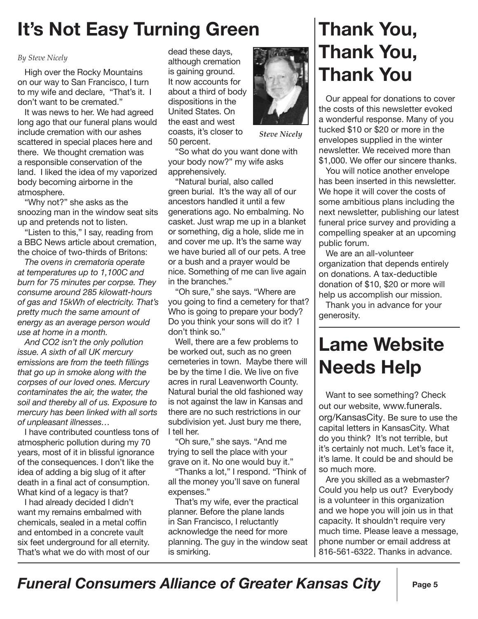# **It's Not Easy Turning Green**

#### *By Steve Nicely*

High over the Rocky Mountains on our way to San Francisco, I turn to my wife and declare, "That's it. I don't want to be cremated."

It was news to her. We had agreed long ago that our funeral plans would include cremation with our ashes scattered in special places here and there. We thought cremation was a responsible conservation of the land. I liked the idea of my vaporized body becoming airborne in the atmosphere.

"Why not?" she asks as the snoozing man in the window seat sits up and pretends not to listen.

"Listen to this," I say, reading from a BBC News article about cremation, the choice of two-thirds of Britons:

*The ovens in crematoria operate at temperatures up to 1,100C and burn for 75 minutes per corpse. They consume around 285 kilowatt-hours of gas and 15kWh of electricity. That's pretty much the same amount of energy as an average person would use at home in a month.*

*And CO2 isn't the only pollution issue. A sixth of all UK mercury emissions are from the teeth fillings that go up in smoke along with the corpses of our loved ones. Mercury contaminates the air, the water, the soil and thereby all of us. Exposure to mercury has been linked with all sorts of unpleasant illnesses…* 

I have contributed countless tons of atmospheric pollution during my 70 years, most of it in blissful ignorance of the consequences. I don't like the idea of adding a big slug of it after death in a final act of consumption. What kind of a legacy is that?

I had already decided I didn't want my remains embalmed with chemicals, sealed in a metal coffin and entombed in a concrete vault six feet underground for all eternity. That's what we do with most of our

dead these days, although cremation is gaining ground. It now accounts for about a third of body dispositions in the United States. On the east and west coasts, it's closer to 50 percent.



*Steve Nicely*

"So what do you want done with your body now?" my wife asks apprehensively.

"Natural burial, also called green burial. It's the way all of our ancestors handled it until a few generations ago. No embalming. No casket. Just wrap me up in a blanket or something, dig a hole, slide me in and cover me up. It's the same way we have buried all of our pets. A tree or a bush and a prayer would be nice. Something of me can live again in the branches."

"Oh sure," she says. "Where are you going to find a cemetery for that? Who is going to prepare your body? Do you think your sons will do it? I don't think so."

Well, there are a few problems to be worked out, such as no green cemeteries in town. Maybe there will be by the time I die. We live on five acres in rural Leavenworth County. Natural burial the old fashioned way is not against the law in Kansas and there are no such restrictions in our subdivision yet. Just bury me there, I tell her.

"Oh sure," she says. "And me trying to sell the place with your grave on it. No one would buy it."

"Thanks a lot," I respond. "Think of all the money you'll save on funeral expenses."

That's my wife, ever the practical planner. Before the plane lands in San Francisco, I reluctantly acknowledge the need for more planning. The guy in the window seat is smirking.

### **Thank You, Thank You, Thank You**

Our appeal for donations to cover the costs of this newsletter evoked a wonderful response. Many of you tucked \$10 or \$20 or more in the envelopes supplied in the winter newsletter. We received more than \$1,000. We offer our sincere thanks.

You will notice another envelope has been inserted in this newsletter. We hope it will cover the costs of some ambitious plans including the next newsletter, publishing our latest funeral price survey and providing a compelling speaker at an upcoming public forum.

We are an all-volunteer organization that depends entirely on donations. A tax-deductible donation of \$10, \$20 or more will help us accomplish our mission.

Thank you in advance for your generosity.

# **Lame Website Needs Help**

Want to see something? Check out our website, www.funerals. org/KansasCity. Be sure to use the capital letters in KansasCity. What do you think? It's not terrible, but it's certainly not much. Let's face it, it's lame. It could be and should be so much more.

Are you skilled as a webmaster? Could you help us out? Everybody is a volunteer in this organization and we hope you will join us in that capacity. It shouldn't require very much time. Please leave a message, phone number or email address at 816-561-6322. Thanks in advance.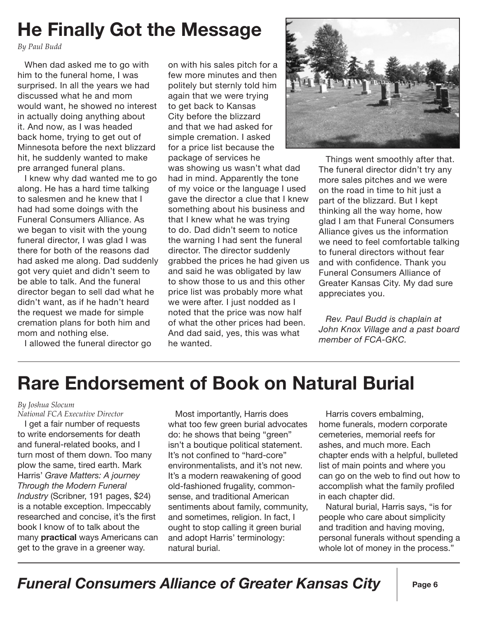# **He Finally Got the Message**

*By Paul Budd*

When dad asked me to go with him to the funeral home, I was surprised. In all the years we had discussed what he and mom would want, he showed no interest in actually doing anything about it. And now, as I was headed back home, trying to get out of Minnesota before the next blizzard hit, he suddenly wanted to make pre arranged funeral plans.

I knew why dad wanted me to go along. He has a hard time talking to salesmen and he knew that I had had some doings with the Funeral Consumers Alliance. As we began to visit with the young funeral director, I was glad I was there for both of the reasons dad had asked me along. Dad suddenly got very quiet and didn't seem to be able to talk. And the funeral director began to sell dad what he didn't want, as if he hadn't heard the request we made for simple cremation plans for both him and mom and nothing else.

I allowed the funeral director go

on with his sales pitch for a few more minutes and then politely but sternly told him again that we were trying to get back to Kansas City before the blizzard and that we had asked for simple cremation. I asked for a price list because the package of services he was showing us wasn't what dad had in mind. Apparently the tone of my voice or the language I used gave the director a clue that I knew something about his business and that I knew what he was trying to do. Dad didn't seem to notice the warning I had sent the funeral director. The director suddenly grabbed the prices he had given us and said he was obligated by law to show those to us and this other price list was probably more what we were after. I just nodded as I noted that the price was now half of what the other prices had been. And dad said, yes, this was what he wanted.



Things went smoothly after that. The funeral director didn't try any more sales pitches and we were on the road in time to hit just a part of the blizzard. But I kept thinking all the way home, how glad I am that Funeral Consumers Alliance gives us the information we need to feel comfortable talking to funeral directors without fear and with confidence. Thank you Funeral Consumers Alliance of Greater Kansas City. My dad sure appreciates you.

*Rev. Paul Budd is chaplain at John Knox Village and a past board member of FCA-GKC.*

### **Rare Endorsement of Book on Natural Burial**

#### *By Joshua Slocum*

*National FCA Executive Director*

I get a fair number of requests to write endorsements for death and funeral-related books, and I turn most of them down. Too many plow the same, tired earth. Mark Harris' *Grave Matters: A journey Through the Modern Funeral Industry* (Scribner, 191 pages, \$24) is a notable exception. Impeccably researched and concise, it's the first book I know of to talk about the many **practical** ways Americans can get to the grave in a greener way.

Most importantly, Harris does what too few green burial advocates do: he shows that being "green" isn't a boutique political statement. It's not confined to "hard-core" environmentalists, and it's not new. It's a modern reawakening of good old-fashioned frugality, commonsense, and traditional American sentiments about family, community, and sometimes, religion. In fact, I ought to stop calling it green burial and adopt Harris' terminology: natural burial.

Harris covers embalming, home funerals, modern corporate cemeteries, memorial reefs for ashes, and much more. Each chapter ends with a helpful, bulleted list of main points and where you can go on the web to find out how to accomplish what the family profiled in each chapter did.

Natural burial, Harris says, "is for people who care about simplicity and tradition and having moving, personal funerals without spending a whole lot of money in the process."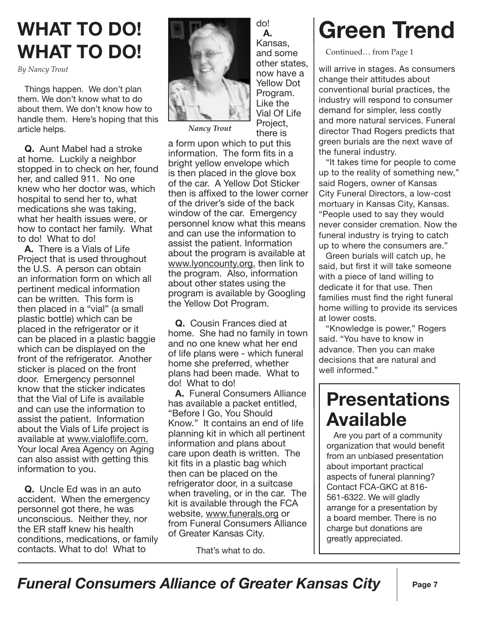# **WHAT TO DO! WHAT TO DO!**

*By Nancy Trout*

Things happen. We don't plan them. We don't know what to do about them. We don't know how to handle them. Here's hoping that this article helps.

**Q.** Aunt Mabel had a stroke at home. Luckily a neighbor stopped in to check on her, found her, and called 911. No one knew who her doctor was, which hospital to send her to, what medications she was taking, what her health issues were, or how to contact her family. What to do! What to do!

**A.** There is a Vials of Life Project that is used throughout the U.S. A person can obtain an information form on which all pertinent medical information can be written. This form is then placed in a "vial" (a small plastic bottle) which can be placed in the refrigerator or it can be placed in a plastic baggie which can be displayed on the front of the refrigerator. Another sticker is placed on the front door. Emergency personnel know that the sticker indicates that the Vial of Life is available and can use the information to assist the patient. Information about the Vials of Life project is available at www.vialoflife.com. Your local Area Agency on Aging can also assist with getting this information to you.

**Q.** Uncle Ed was in an auto accident. When the emergency personnel got there, he was unconscious. Neither they, nor the ER staff knew his health conditions, medications, or family contacts. What to do! What to



**A.** Kansas, and some other states, now have a Yellow Dot Program. Like the Vial Of Life Project, there is

do!

*Nancy Trout*

a form upon which to put this information. The form fits in a bright yellow envelope which is then placed in the glove box of the car. A Yellow Dot Sticker then is affixed to the lower corner of the driver's side of the back window of the car. Emergency personnel know what this means and can use the information to assist the patient. Information about the program is available at www.lyoncounty.org, then link to the program. Also, information about other states using the program is available by Googling the Yellow Dot Program.

**Q.** Cousin Frances died at home. She had no family in town and no one knew what her end of life plans were - which funeral home she preferred, whether plans had been made. What to do! What to do!

**A.** Funeral Consumers Alliance has available a packet entitled, "Before I Go, You Should Know." It contains an end of life planning kit in which all pertinent information and plans about care upon death is written. The kit fits in a plastic bag which then can be placed on the refrigerator door, in a suitcase when traveling, or in the car. The kit is available through the FCA website, www.funerals.org or from Funeral Consumers Alliance of Greater Kansas City.

That's what to do.

# **Green Trend**

Continued… from Page 1

will arrive in stages. As consumers change their attitudes about conventional burial practices, the industry will respond to consumer demand for simpler, less costly and more natural services. Funeral director Thad Rogers predicts that green burials are the next wave of the funeral industry.

"It takes time for people to come up to the reality of something new," said Rogers, owner of Kansas City Funeral Directors, a low-cost mortuary in Kansas City, Kansas. "People used to say they would never consider cremation. Now the funeral industry is trying to catch up to where the consumers are."

Green burials will catch up, he said, but first it will take someone with a piece of land willing to dedicate it for that use. Then families must find the right funeral home willing to provide its services at lower costs.

"Knowledge is power," Rogers said. "You have to know in advance. Then you can make decisions that are natural and well informed."

#### **Presentations Available**

Are you part of a community organization that would benefit from an unbiased presentation about important practical aspects of funeral planning? Contact FCA-GKC at 816- 561-6322. We will gladly arrange for a presentation by a board member. There is no charge but donations are greatly appreciated.